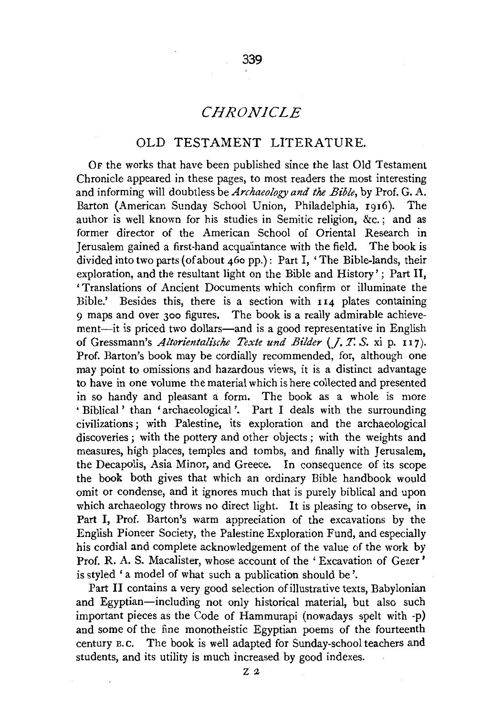## OLD TESTAMENT LITERATURE.

OF the works that have been published since the last Old Testament Chronicle appeared in these pages, to most readers the most interesting and informing will doubtless be *Archaeology and the Bible,* by Prof. G. A. Barton (American Sunday School Union, Philadelphia, 1916). The author is well known for his studies in Semitic religion, &c. ; and as former director of the American School of Oriental Research in Jerusalem gained a first-hand acquaintance with the field. The book is divided into two parts (of about 460 pp.): Part I, 'The Bible-lands, their exploration, and the resultant light on the Bible and History'; Part II, ' Translations of Ancient Documents which confirm or illuminate the Bible.' Besides this, there is a section with  $II_4$  plates containing 9 maps and over 300 figures. The book is a really admirable achievement-it is priced two dollars-and is a good representative in English of Gressmann's *Altorientalische Texte und Bilder* (*J. T. S. xi p. 117*). Prof. Barton's book may be cordially recommended, for, although one may point to omissions and hazardous views, it is a distinct advantage to have in one volume the material which is here collected and presented in so handy and pleasant a form. The book as a whole is more 'Biblical' than 'archaeological'. Part I deals with the surrounding civilizations ; with Palestine, its exploration and the archaeological discoveries ; with the pottery and other objects ; with the weights and measures, high places, temples and tombs, and finally with Jerusalem, the Decapolis, Asia Minor, and Greece. In consequence of its scope the book both gives that which an ordinary Bible handbook would omit or condense, and it ignores much that is purely biblical and upon which archaeology throws no direct light. It is pleasing to observe, in Part I, Prof. Barton's warm appreciation of the excavations by the English Pioneer Society, the Palestine Exploration Fund, and especially his cordial and complete acknowledgement of the value of the work by Prof. R. A. S. Macalister, whose account of the ' Excavation of Gezer' is styled 'a model of what such a publication should be'.

Part II contains a very good selection of illustrative texts, Babylonian and Egyptian-including not only historical material, but also such important pieces as the Code of Hammurapi (nowadays spelt with -p) and some of the fine monotheistic Egyptian poems of the fourteenth century B. c. The book is well adapted for Sunday-school teachers and students, and its utility is much increased by good indexes.

 $Z<sub>2</sub>$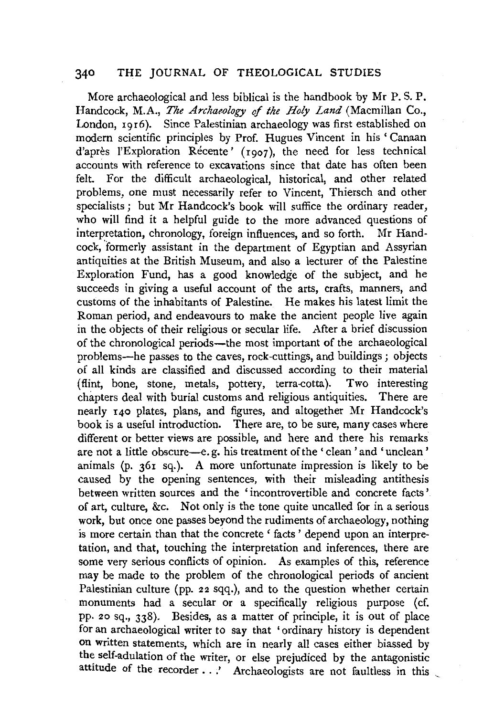More archaeological and less biblical is the handbook by Mr P. S. P. Handcock, M.A., *The Archaeology of the Holy Land* (Macmillan Co., London, 1916). Since Palestinian archaeology was first established on modern scientific principles by Prof. Hugues Vincent in his ' Canaan d'après l'Exploration Récente' (1907), the need for less technical accounts with reference to excavations since that date has often been felt. For the difficult archaeological, historical, and other related problems, one must necessarily refer to Vincent, Thiersch and other specialists; but Mr Handcock's book will suffice the ordinary reader, who will find it a helpful guide to the more advanced questions of interpretation, chronology, foreign influences, and so forth. Mr Handcock, 'formerly assistant in the department of Egyptian and Assyrian antiquities at the British Museum, and also a lecturer of the Palestine Exploration Fund, has a good knowledge of the subject, and he succeeds in giving a useful account of the arts, crafts, manners, and customs of the inhabitants of Palestine. He makes his latest limit the Roman period, and endeavours to make the ancient people live again in the objects of their religious or secular life. After a brief discussion of the chronological periods-the most important of the archaeological problems-he passes to the caves, rock-cuttings, and buildings; objects of all kinds are classified and discussed according to their material (flint, bone, stone, metals, pottery, terra-cotta). Two interesting chapters deal with burial customs and religious antiquities. There are nearly 140 plates, plans, and figures, and altogether Mr Handcock's book is a useful introduction. There are, to be sure, many cases where different or better views are possible, and here and there his remarks are not a little obscure-e. g. his treatment of the ' clean ' and 'unclean ' animals (p. 361 sq.). A more unfortunate impression is likely to be caused by the opening sentences, with their misleading antithesis between written sources and the ' incontrovertible and concrete facts ' of art, culture, &c. Not only is the tone quite uncalled for in a serious work, but once one passes beyond the rudiments of archaeology, nothing is more certain than that the concrete ' facts ' depend upon an interpretation, and that, touching the interpretation and inferences, there are some very serious conflicts of opinion. As examples of this, reference may be made to the problem of the chronological periods of ancient Palestinian culture (pp. 22 sqq.), and to the question whether certain monuments had a secular or a specifically religious purpose (cf. pp. 20 sq., 338). Besides, as a matter of principle, it is out of place for an archaeological writer to say that 'ordinary history is dependent on written statements, which are in nearly all cases either biassed by the self-adulation of the writer, or else prejudiced by the antagonistic attitude of the recorder  $\ldots$ . Archaeologists are not faultless in this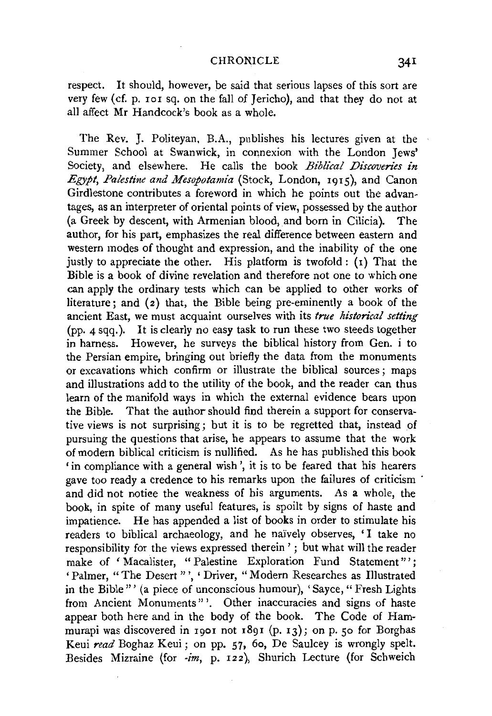## CHRONICLE 34I

respect. It should, however, be said that serious lapses of this sort are very few (cf. p. 101 sq. on the fall of Jericho), and that they do not at all affect Mr Handcock's book as a whole.

The Rev. J. Politeyan, B.A., publishes his lectures given at the Summer School at Swanwick, in connexion with the London Jews' Society, and elsewhere. He calls the book *Biblical Discovenes in Egypt, Palestine and Mesopotamia* (Stock, London, I915), and Canon Girdlestone contributes a foreword in which he points out the advantages, as an interpreter of oriental points of view, possessed by the author (a Greek by descent, with Armenian blood, and born in Cilicia). The author, for his part, emphasizes the real difference between eastern and western modes of thought and expression, and the inability of the one justly to appreciate the other. His platform is twofold :  $(1)$  That the Bible is a book of divine revelation and therefore not one to which one can apply the ordinary tests which can be applied to other works of literature; and (2) that, the Bible being pre-eminently a book of the ancient East, we must acquaint ourselves with its *true historical setting*  (pp. 4 sqq.). It is clearly no easy task to run these two steeds together in harness. However, he surveys the biblical history from Gen. i to the Persian empire, bringing out briefly the data from the monuments or excavations which confirm or illustrate the biblical sources ; maps and illustrations add to the utility of the book, and the reader can thus learn of the manifold ways in which the external evidence bears upon the Bible. That the author should find therein a support for conservative views is not surprising; but it is to be regretted that, instead of pursuing the questions that arise, he appears to assume that the work of modern biblical criticism is nullified. As he has published this book 'in compliance with a general wish ', it is to be feared that his hearers gave too ready a credence to his remarks upon the failures of criticism  $\cdot$ and did not notice the weakness of his arguments. As a whole, the book, in spite of many useful features, is spoilt by signs of haste and impatience. He has appended a list of books in order to stimulate his readers to biblical archaeology, and he naively observes, 'I take no responsibility for the views expressed therein ' ; but what will the reader make of 'Macalister, " Palestine Exploration Fund Statement"'; 'Palmer, "The Desert " ', ' Driver, "Modern Researches as Illustrated in the Bible"' (a piece of unconscious humour), 'Sayee," Fresh Lights from Ancient Monuments"'. Other inaccuracies and signs of haste appear both here and in the body of the book. The Code of Hammurapi was discovered in I90I not I89I (p. I3}; on p. *so* for Borghas Keui *read* Boghaz Keui; on pp. 57, 6o, De Saulcey is wrongly spelt. Besides Mizraine (for *-im*, p. 122), Shurich Lecture (for Schweich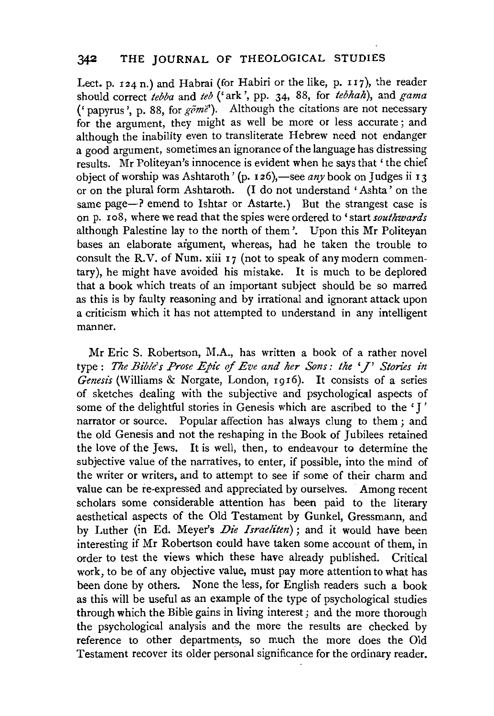Lect. p. 124 n.) and Habrai (for Habiri or the like, p. 117), the reader should correct *tebba* and *teb* ('ark', pp. 34, 88, for *tebhah),* and *gama*  ('papyrus', p. 88, for  $g\bar{g}m\bar{e}'$ ). Although the citations are not necessary for the argument, they might as well be more or less accurate; and although the inability even to transliterate Hebrew need not endanger a good argument, sometimes an ignorance of the language has distressing results. Mr Politeyan's innocence is evident when he says that 'the chief object of worship was Ashtaroth' (p. 126),—see *any* book on Judges ii 13 or on the plural form Ashtaroth. (I do not understand ' Ashta' on the same page-? emend to Ishtar or Astarte.) But the strangest case is on p. 108, where we read that the spies were ordered to 'start *southwards*  although Palestine lay to the north of them'. Upon this Mr Politeyan bases an elaborate argument, whereas, had he taken the trouble to consult the R.V. of Num. xiii  $17$  (not to speak of any modern commentary), he might have avoided his mistake. It is much to be deplored that a book which treats of an important subject should be so marred as this is by faulty reasoning and by irrational and ignorant attack upon a criticism which it has not attempted to understand in any intelligent manner.

Mr Eric S. Robertson, M.A., has written a book of a rather novel type: *The Bible's Prose Epic* of *Eve and her Sons: the* 'J' *Stones in Genesis* (Williams & Norgate, London, 1916). It consists of a series of sketches dealing with the subjective and psychological aspects of some of the delightful stories in Genesis which are ascribed to the 'J' narrator or source. Popular affection has always clung to them ; and the old Genesis and not the reshaping in the Book of Jubilees retained the love of the Jews. It is well, then, to endeavour to determine the subjective value of the narratives, to enter, if possible, into the mind of the writer or writers, and to attempt to see if some of their charm and value can be re-expressed and appreciated by ourselves. Among recent scholars some considerable attention has been paid to the literary aesthetical aspects of the Old Testament by Gunkel, Gressmann, and by Luther (in Ed. Meyer's *Die Israeliten*); and it would have been interesting if Mr Robertson could have taken some account of them, in order to test the views which these have already published. Critical work, to be of any objective value, must pay more attention to what has been done by others. None the less, for English readers such a book as this will be useful as an example of the type of psychological studies through which the Bible gains in living interest; and the more thorough the psychological analysis and the more the results are checked by reference to other departments, so much the more does the Old Testament recover its older personal significance for the ordinary reader.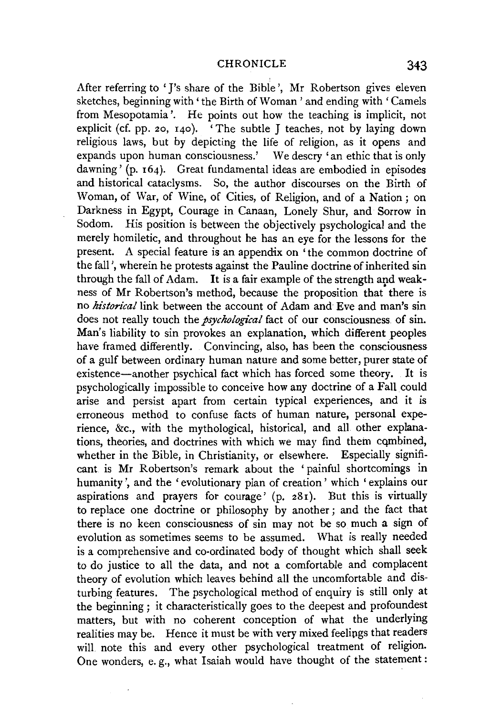After referring to 'J's share of the Bible', Mr Robertson gives eleven sketches, beginning with ' the Birth of Woman ' and ending with ' Camels from Mesopotamia'. He points out how the teaching is implicit, not explicit (cf. pp. 20, 140). 'The subtle J teaches, not by laying down religious laws, but by depicting the life of religion, as it opens and expands upon human consciousness.' We descry' an ethic that is only dawning' (p. 164). Great fundamental ideas are embodied in episodes and historical cataclysms. So, the author discourses on the Birth of Woman, of War, of Wine, of Cities, of Religion, and of a Nation; on Darkness in Egypt, Courage in Canaan, Lonely Shur, and Sorrow in Sodom. His position is between the objectively psychological and the merely homiletic, and throughout he has an eye for the lessons for the present. A special feature is an appendix on 'the common doctrine of the fall', wherein he protests against the Pauline doctrine of inherited sin through the fall of Adam. It is a fair example of the strength and weakness of Mr Robertson's method, because the proposition that there is no *historical* link between the account of Adam and Eve and man's sin does not really touch the *psychological* fact of our consciousness of sin. Man's liability to sin provokes an explanation, which different peoples have framed differently. Convincing, also, has been the consciousness of a gulf between ordinary human nature and some better, purer state of existence-another psychical fact which has forced some theory. It is psychologically impossible to conceive how any doctrine of a Fall could arise and persist apart from certain typical experiences, and it is erroneous method to confuse facts of human nature, personal experience, &c., with the mythological, historical, and all other explanations, theories, and doctrines with which we may find them cqmbined, whether in the Bible, in Christianity, or elsewhere. Especially significant is Mr Robertson's remark about the ' painful shortcomings in humanity', and the 'evolutionary plan of creation' which 'explains our aspirations and prayers for courage' (p. 28r). But this is virtually to replace one doctrine or philosophy by another; and the fact that there is no keen consciousness of sin may not be so much a sign of evolution as sometimes seems to be assumed. What is really needed is a comprehensive and co-ordinated body of thought which shall seek to do justice to all the data, and not a comfortable and complacent theory of evolution which leaves behind all the uncomfortable and disturbing features. The psychological method of enquiry is still only at the beginning ; it characteristically goes to the deepest and profoundest matters, but with no coherent conception of what the underlying realities may be. Hence it must be with very mixed feelipgs that readers will note this and every other psychological treatment of religion. One wonders, e. g., what Isaiah would have thought of the statement :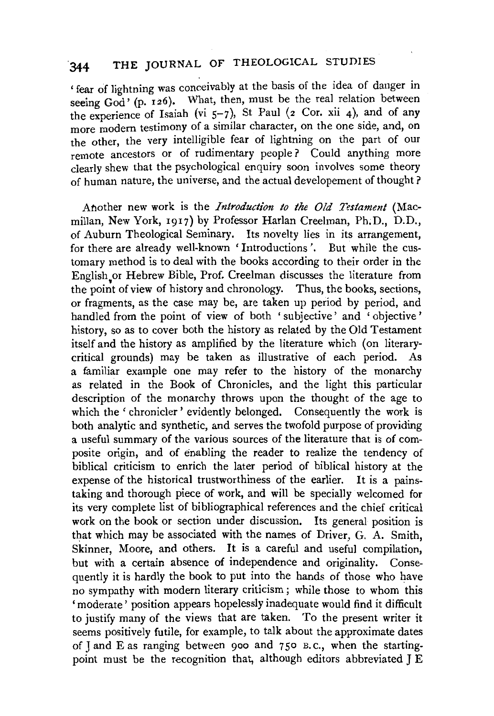'fear of lightning was conceivably at the basis of the idea of danger in seeing  $God'$  (p. 126). What, then, must be the real relation between the experience of Isaiah (vi  $5-7$ ), St Paul (2 Cor. xii 4), and of any more modem testimony of a similar character, on the one side, and, on the other, the very intelligible fear of lightning on the part of our remote ancestors or of rudimentary people ? Could anything more clearly shew that the psychological enquiry soon involves some theory of human nature, the universe, and the actual developement of thought?

Another new work is the *Introduction to the Old Testament* (Macmillan, New York, 1917} by Professor Harlan Creelman, Ph;D., D.D., of Auburn Theological Seminary. Its novelty lies in its arrangement, for there are already well-known 'Introductions'. But while the customary method is to deal with the books according to their order in the English,or Hebrew Bible, Prof. Creelman discusses the literature from the point of view of history and chronology. Thus, the books, sections, or fragments, as the case may be, are taken up period by period, and handled from the point of view of both 'subjective' and 'objective' history, so as to cover both the history as related by the Old Testament itself and the history as amplified by the literature which (on literarycritical grounds) may be taken as illustrative of each period. As a familiar example one may refer to the history of the monarchy as related in the Book of Chronicles, and the light this particular description of the monarchy throws upon the thought of the age to which the ' chronicler' evidently belonged. Consequently the work is both analytic and synthetic, and serves the twofold purpose of providing a useful summary of the various sources of the literature that is of composite origin, and of enabling the reader to realize the tendency of biblical criticism to enrich the later period of biblical history at the expense of the historical trustworthiness of the earlier. It is a painstaking and thorough piece of work, and will be specially welcomed for its very complete list of bibliographical references and the chief critical work on the book or section under discussion. Its general position is that which may be associated with the names of Driver, G. A. Smith, Skinner, Moore, and others. It is a careful and useful compilation, but with a certain absence of independence and originality. Consequently it is hardly the book to put into the hands of those who have no sympathy with modem literary criticism ; while those to whom this 'moderate' position appears hopelessly inadequate would find it difficult to justify many of the views that are taken. To the present writer it seems positively futile, for example, to talk about the approximate dates of JandE as ranging between 900 and 750 B.c., when the startingpoint must be the recognition that, although editors abbreviated  $\overline{I}$  E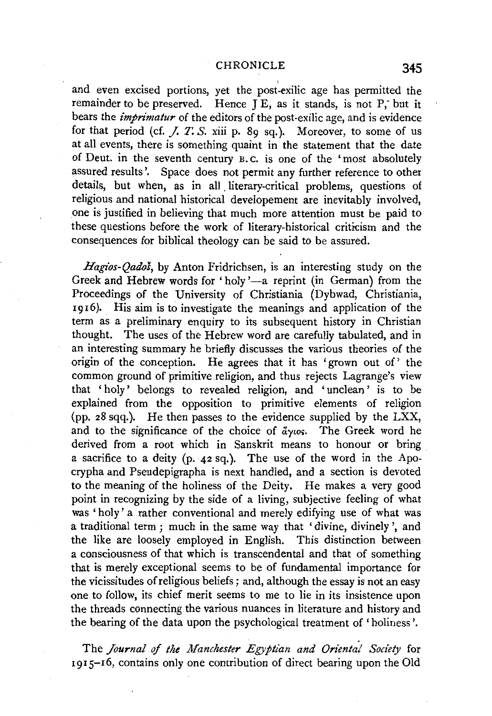and even excised portions, yet the post-exilic age has permitted the remainder to be preserved. Hence  $\overline{I}E$ , as it stands, is not P, but it bears the *imprimatur* of the editors of the post-exilic age, and is evidence for that period (cf. *J. T. S.* xiii p. 89 sq.). Moreover, to some of us at all events, there is something quaint in the statement that the date of Deut. in the seventh century B. c. is one of the 'most absolutely assured results'. Space does not permit any further reference to other details, but when, as in all literary-critical problems, questions of religious and national historical developement are inevitably involved, one is justified in believing that much more attention must be paid to these questions before the work of literary-historical criticism and the consequences for biblical theology can be said to be assured.

*Hagios-Qados,* by Anton Fridrichsen, is an interesting study on the Greek and Hebrew words for 'holy'--- a reprint (in German) from the Proceedings of the University of Christiania (Dybwad, Christiania, 1916). His aim is to investigate the meanings and application of the term as a preliminary enquiry to its subsequent history in Christian thought. The uses of the Hebrew word are carefully tabulated, and in an interesting summary he briefly discusses the various theories of the origin of the conception. He agrees that it has 'grown out of' the common ground of primitive religion, and thus rejects Lagrange's view that ' holy' belongs to revealed religion, and 'unclean ' is to be explained from the opposition to primitive elements of religion (pp. 28 sqq.). He then passes to the evidence supplied by the LXX, and to the significance of the choice of  $\tilde{a}$ ywo, The Greek word he derived from a root which in Sanskrit means to honour or bring a sacrifice to a deity (p. 42 sq.). The use of the word in the Apocrypha and Pseudepigrapha is next handled, and a section is devoted to the meaning of the holiness of the Deity. He makes a very good point in recognizing by the side of a living, subjective feeling of what was 'holy' a rather conventional and merely edifying use of what was a traditional term ; much in the same way that 'divine, divinely ', and the like are loosely employed in English. This distinction between a consciousness of that which is transcendental and that of something that is merely exceptional seems to be of fundamental importance for the vicissitudes of religious beliefs ; and, although the essay is not an easy one to follow, its chief merit seems to me to lie in its insistence upon the threads connecting the various nuances in literature and history and the bearing of the data upon the psychological treatment of' holiness'.

The *Journal* of *the Manchester Egyptian and Oriental Society* for 1915-I6, contains only one contribution of direct bearing upon the Old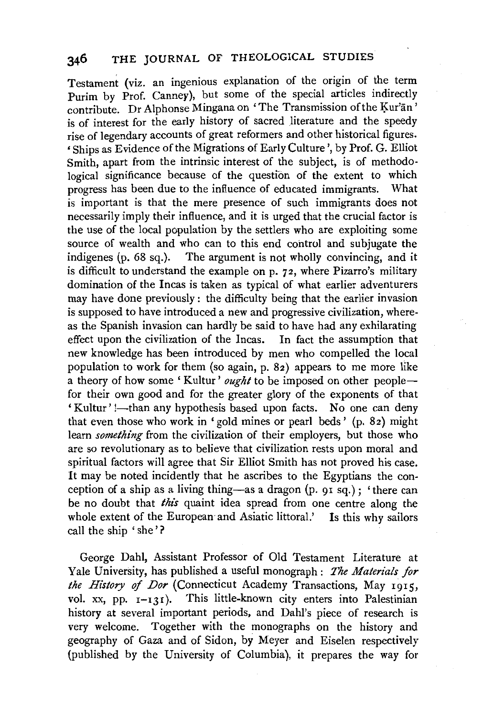Testament (viz. an ingenious explanation of the origin of the term Purim by Prof. Canney), but some of the special articles indirectly contribute. Dr Alphonse Mingana on 'The Transmission of the Kur'an' is of interest for the early history of sacred literature and the speedy rise of legendary accounts of great reformers and other historical figures. • Ships as Evidence of the Migrations of Early Culture', by Prof. G. Elliot Smith, apart from the intrinsic interest of the subject, is of methodological significance because of the question of the extent to which progress has been due to the influence of educated immigrants. What is important is that the mere presence of such immigrants does not necessarily imply their influence, and it is urged that the crucial factor is the use of the local population by the settlers who are exploiting some source of wealth and who can to this end control and subjugate the indigenes (p. 68 sq.). The argument is not wholly convincing, and it is difficult to understand the example on p. 72, where Pizarro's military domination of the Incas is taken as typical of what earlier adventurers may have done previously: the difficulty being that the earlier invasion is supposed to have introduced a new and progressive civilization, whereas the Spanish invasion can hardly be said to have had any exhilarating effect upon the civilization of the Incas. In fact the assumption that new knowledge has been introduced by men who compelled the local population to work for them (so again, p. 82) appears to me more like a theory of how some 'Kultur' *ought* to be imposed on other peoplefor their own good and for the greater glory of the exponents of that 'Kultur'!—than any hypothesis based upon facts. No one can deny that even those who work in 'gold mines or pearl beds' (p. 82) might learn *something* from the civilization of their employers, but those who are so revolutionary as to believe that civilization rests upon moral and spiritual factors will agree that Sir Elliot Smith has not proved his case. It may be noted incidently that he ascribes to the Egyptians the conception of a ship as a living thing-as a dragon (p. 91 sq.); 'there can be no doubt that *this* quaint idea spread from one centre along the whole extent of the European and Asiatic littoral.' Is this why sailors call the ship ' she'?

George Dahl, Assistant Professor of Old Testament Literature at Yale University, has published a useful monograph: *The Materials for the History* of *Dor* (Connecticut Academy Transactions, May r9r5, vol. xx, pp.  $I-I3I$ ). This little-known city enters into Palestinian history at several important periods, and Dahl's piece of research is very welcome. Together with the monographs on the history and geography of Gaza and of Sidon, by Meyer and Eiselen respectively (published by the University of Columbia), it prepares the way for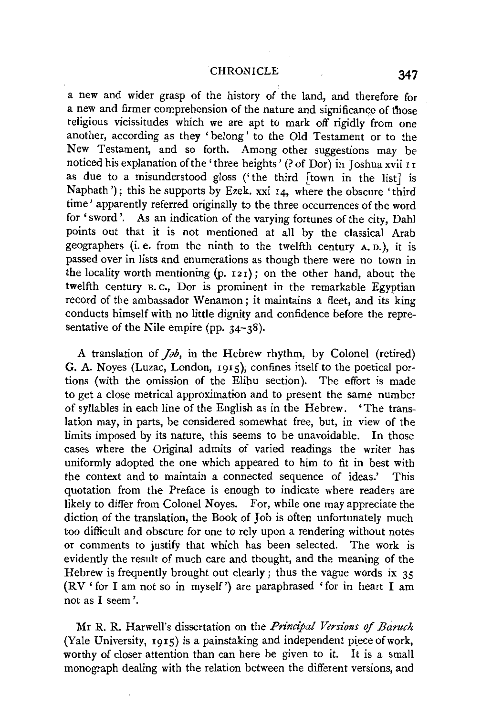a new and wider grasp of the history of the land, and therefore for a new and firmer comprehension of the nature and significance of those religious vicissitudes which we are apt to mark off rigidly from one another, according as they 'belong' to the Old Testament or to the New Testament, and so forth. Among other suggestions may be noticed his explanation of the 'three heights' (? of Dor) in Joshua xvii II as due to a misunderstood gloss ('the third [town in the list] is Naphath'); this he supports by Ezek. xxi 14, where the obscure 'third time' apparently referred originally to the three occurrences of the word for 'sword'. As an indication of the varying fortunes of the city, Dahl points out that it is not mentioned at all by the classical Arab geographers (i.e. from the ninth to the twelfth century A. n.), it is passed over in lists and enumerations as though there were no town in the locality worth mentioning  $(p, 121)$ ; on the other hand, about the twelfth century B. c., Dor is prominent in the remarkable Egyptian record of the ambassador Wenamon; it maintains a fleet, and its king conducts himself with no little dignity and confidence before the representative of the Nile empire (pp. 34-38).

A translation of *Job,* in the Hebrew rhythm, by Colonel (retired) G. A. Noyes (Luzac, London, I9I5), confines itself to the poetical portions (with the omission of the Elihu section). The effort is made to get a close metrical approximation and to present the same number of syllables in each line of the English as in the Hebrew. 'The translation may, in parts, be considered somewhat free, but, in view of the limits imposed by its nature, this seems to be unavoidable. In those cases where the Original admits of varied readings the writer has uniformly adopted the one which appeared to him to fit in best with the context and to maintain a connected sequence of ideas.' This quotation from the Preface is enough to indicate where readers are likely to differ from Colonel Noyes. For, while one may appreciate the diction of the translation, the Book of Job is often unfortunately much too difficult and obscure for one to rely upon a rendering without notes or comments to justify that which has been selected. The work is evidently the result of much care and thought, and the meaning of the Hebrew is frequently brought out clearly; thus the vague words ix  $35$ (RV ' for I am not so in myself') are paraphrased ' for in heart I am not as I seem'.

Mr R. R. Harwell's dissertation on the *Principal Versions* of *Baruch*  (Yale University, 1915) is a painstaking and independent piece of work, worthy of closer attention than can here be given to it. It is a small monograph dealing with the relation between the different versions, and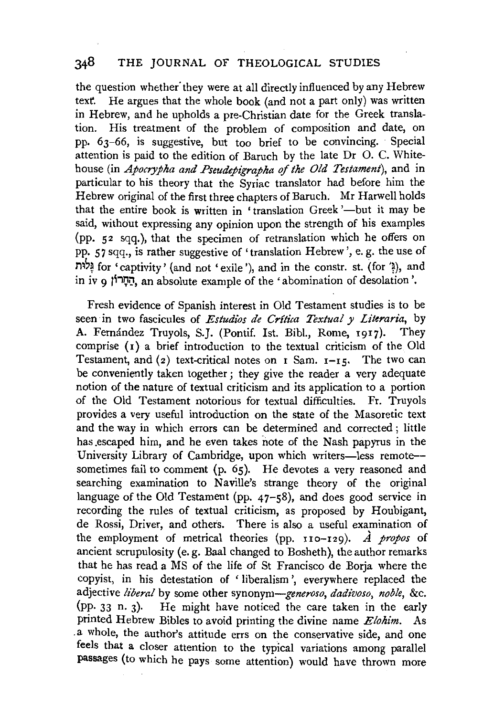the question whether they were at all directly influenced by any Hebrew text'. He argues that the whole book (and not a part only) was written in Hebrew, and he upholds a pre-Christian date for the Greek translation. His treatment of the problem of composition and date, on pp. 63-66, is suggestive, but too brief to be convincing. Special attention is paid to the edition of Baruch by the late Dr 0. C. Whitehouse (in *Apocrypha and Pseudepigrapha of the Old Testament*), and in particular to his theory that the Syriac translator had before him the Hebrew original of the first three chapters of Baruch. Mr Harwell holds that the entire book is written in 'translation Greek'-but it may be said, without expressing any opinion upon the strength of his examples (pp. 52 sqq.), that the specimen of retranslation which he offers on pp. *57* sqq., is rather suggestive of 'translation Hebrew', e. g. the use of  $\frac{1}{2}$  for 'captivity' (and not 'exile'), and in the constr. st. (for  $\frac{1}{2}$ ), and in iv 9 הְחָרוֹ; an absolute example of the 'abomination of desolation'.

Fresh evidence of Spanish interest in Old Testament studies is to be seen in two fascicules of *Estudios de Crítica Textual y Literaria*, by A. Fernández Truyols, S.J. (Pontif. Ist. Bibl., Rome, 1917). They comprise (r) a brief introduction to the textual criticism of the Old Testament, and  $(2)$  text-critical notes on 1 Sam.  $I-I5$ . The two can be conveniently taken together; they give the reader a very adequate notion of the nature of textual criticism and its application to a portion of the Old Testament notorious for textual difficulties. Fr. Truyols provides a very useful introduction on the state of the Masoretic text and the way in which errors can be determined and corrected; little has escaped him, and he even takes note of the Nash papyrus in the University Library of Cambridge, upon which writers-less remote-sometimes fail to comment (p. 65). He devotes a very reasoned and searching examination to Naville's strange theory of the original language of the Old Testament (pp. 47-58), and does good service in recording the rules of textual criticism, as proposed by Houbigant, de Rossi, Driver, and others. There is also a useful examination of the employment of metrical theories (pp. uo-129). *A propos* of ancient scrupulosity (e. g. Baal changed to Bosheth), the author remarks that he has read a MS of the life of St Francisco de Borja where the copyist, in his detestation of ' liberalism ', everywhere replaced the adjective *liberal* by some other *synonym-generoso, dadivoso, noble,* &c. (pp. 33 n. 3). He might have noticed the care taken in the early printed Hebrew Bibles to avoid printing the divine name *Elohim.* As .a whole, the author's attitude errs on the conservative side, and one feels that a closer attention to the typical variations among parallel passages (to which he pays some attention) would have thrown more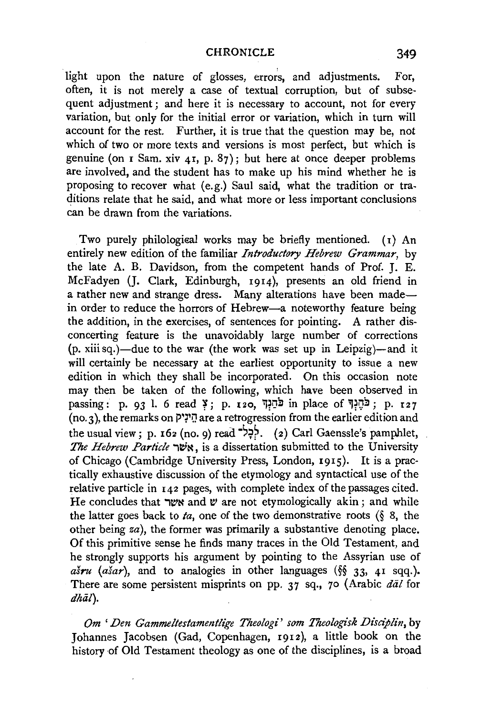light upon the nature of glosses, errors, and adjustments. For, often, it is not merely a case of textual corruption, but of subsequent adjustment ; and here it is necessary to account, not for every variation, but only for the initial error or variation, which in turn will account for the rest. Further, it is true that the question may be, not which of two or more texts and versions is most perfect, but which is genuine (on I Sam. xiv 41, p. 87); but here at once deeper problems are involved, and the student has to make up his mind whether he is proposing to recover what (e.g.) Saul said, what the tradition or traditions relate that he said, and what more or less important conclusions can be drawn from the variations.

Two purely philologieal works may be briefly mentioned.  $(1)$  An entirely new edition of the familiar *Introductory Hebrew Grammar,* by the late A. B. Davidson, from the competent hands of Prof. J. E. McFadyen (J. Clark, Edinburgh, I9I4), presents an old friend in a rather new and strange dress. Many alterations have been madein order to reduce the horrors of Hebrew-a noteworthy feature being the addition, in the exercises, of sentences for pointing. A rather disconcerting feature is the unavoidably large number of corrections  $(p. xiii sq.)$ —due to the war (the work was set up in Leipzig)—and it will certainly be necessary at the earliest opportunity to issue a new edition in which they shall be incorporated. On this occasion note may then be taken of the following, which have been observed in passing: p. 93 l. 6 read ?; p. 120, בּוֹחֶנְךָ in place of  $\frac{1}{2}$ : p. 127 (no. 3), the remarks on ייִי וְיֹא are a retrogression from the earlier edition and the usual view; p. 162 (no. 9) read  $\frac{1}{2}$ ?. (2) Carl Gaenssle's pamphlet, *The Hebrew Particle*  $\forall x,$  is a dissertation submitted to the University of Chicago (Cambridge University Press, London, I9I5). It is a practically exhaustive discussion of the etymology and syntactical use of the relative particle in I 42 pages, with complete index of the passages cited. He concludes that "we and  $\nu$  are not etymologically akin; and while the latter goes back to *ta,* one of the two demonstrative roots (§ 8, the other being *za),* the former was primarily a substantive denoting place. Of this primitive sense he finds many traces in the Old Testament, and he strongly supports his argument by pointing to the Assyrian use of  $a\text{Sru}$  ( $a\text{Sar}$ ), and to analogies in other languages ( $\S$ § 33, 41 sqq.). There are some persistent misprints on pp. 37 sq., 70 (Arabic *dal* for *dhiil).* 

*Om' Den Gammeltestamentlige Theologi' som Theologisk Disdplin,* by Johannes Jacobsen (Gad, Copenhagen, I912), a little book on the history of Old Testament theology as one of the disciplines, is a broad